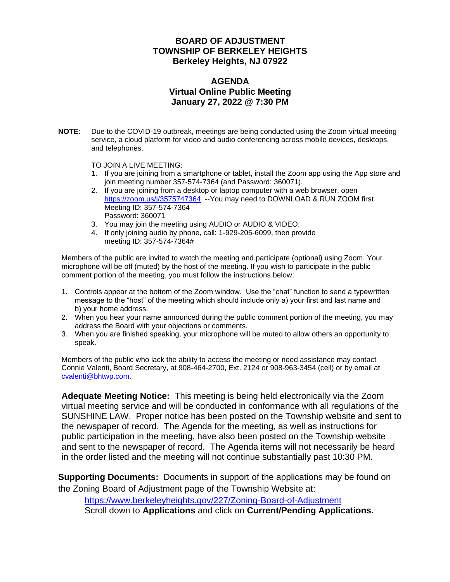#### **BOARD OF ADJUSTMENT TOWNSHIP OF BERKELEY HEIGHTS Berkeley Heights, NJ 07922**

#### **AGENDA Virtual Online Public Meeting January 27, 2022 @ 7:30 PM**

**NOTE:** Due to the COVID-19 outbreak, meetings are being conducted using the Zoom virtual meeting service, a cloud platform for video and audio conferencing across mobile devices, desktops, and telephones.

TO JOIN A LIVE MEETING:

- 1. If you are joining from a smartphone or tablet, install the Zoom app using the App store and join meeting number 357-574-7364 (and Password: 360071).
- 2. If you are joining from a desktop or laptop computer with a web browser, open <https://zoom.us/j/3575747364>--You may need to DOWNLOAD & RUN ZOOM first Meeting ID: 357-574-7364 Password: 360071
- 3. You may join the meeting using AUDIO or AUDIO & VIDEO.
- 4. If only joining audio by phone, call: 1-929-205-6099, then provide meeting ID: 357-574-7364#

Members of the public are invited to watch the meeting and participate (optional) using Zoom. Your microphone will be off (muted) by the host of the meeting. If you wish to participate in the public comment portion of the meeting, you must follow the instructions below:

- 1. Controls appear at the bottom of the Zoom window. Use the "chat" function to send a typewritten message to the "host" of the meeting which should include only a) your first and last name and b) your home address.
- 2. When you hear your name announced during the public comment portion of the meeting, you may address the Board with your objections or comments.
- 3. When you are finished speaking, your microphone will be muted to allow others an opportunity to speak.

Members of the public who lack the ability to access the meeting or need assistance may contact Connie Valenti, Board Secretary, at 908-464-2700, Ext. 2124 or 908-963-3454 (cell) or by email at [cvalenti@bhtwp.com.](mailto:cvalenti@bhtwp.com)

**Adequate Meeting Notice:** This meeting is being held electronically via the Zoom virtual meeting service and will be conducted in conformance with all regulations of the SUNSHINE LAW. Proper notice has been posted on the Township website and sent to the newspaper of record. The Agenda for the meeting, as well as instructions for public participation in the meeting, have also been posted on the Township website and sent to the newspaper of record. The Agenda items will not necessarily be heard in the order listed and the meeting will not continue substantially past 10:30 PM.

**Supporting Documents:** Documents in support of the applications may be found on the Zoning Board of Adjustment page of the Township Website at:

<https://www.berkeleyheights.gov/227/Zoning-Board-of-Adjustment> Scroll down to **Applications** and click on **Current/Pending Applications.**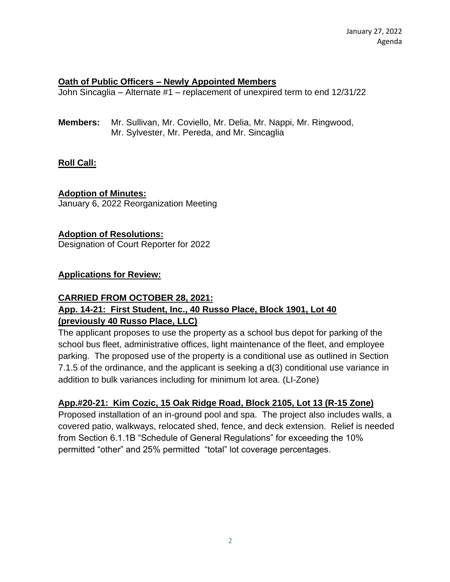#### **Oath of Public Officers – Newly Appointed Members**

John Sincaglia – Alternate #1 – replacement of unexpired term to end 12/31/22

**Members:** Mr. Sullivan, Mr. Coviello, Mr. Delia, Mr. Nappi, Mr. Ringwood, Mr. Sylvester, Mr. Pereda, and Mr. Sincaglia

## **Roll Call:**

#### **Adoption of Minutes:**

January 6, 2022 Reorganization Meeting

#### **Adoption of Resolutions:**

Designation of Court Reporter for 2022

#### **Applications for Review:**

# **CARRIED FROM OCTOBER 28, 2021: App. 14-21: First Student, Inc., 40 Russo Place, Block 1901, Lot 40 (previously 40 Russo Place, LLC)**

The applicant proposes to use the property as a school bus depot for parking of the school bus fleet, administrative offices, light maintenance of the fleet, and employee parking. The proposed use of the property is a conditional use as outlined in Section 7.1.5 of the ordinance, and the applicant is seeking a d(3) conditional use variance in addition to bulk variances including for minimum lot area. (LI-Zone)

## **App.#20-21: Kim Cozic, 15 Oak Ridge Road, Block 2105, Lot 13 (R-15 Zone)**

Proposed installation of an in-ground pool and spa. The project also includes walls, a covered patio, walkways, relocated shed, fence, and deck extension. Relief is needed from Section 6.1.1B "Schedule of General Regulations" for exceeding the 10% permitted "other" and 25% permitted "total" lot coverage percentages.